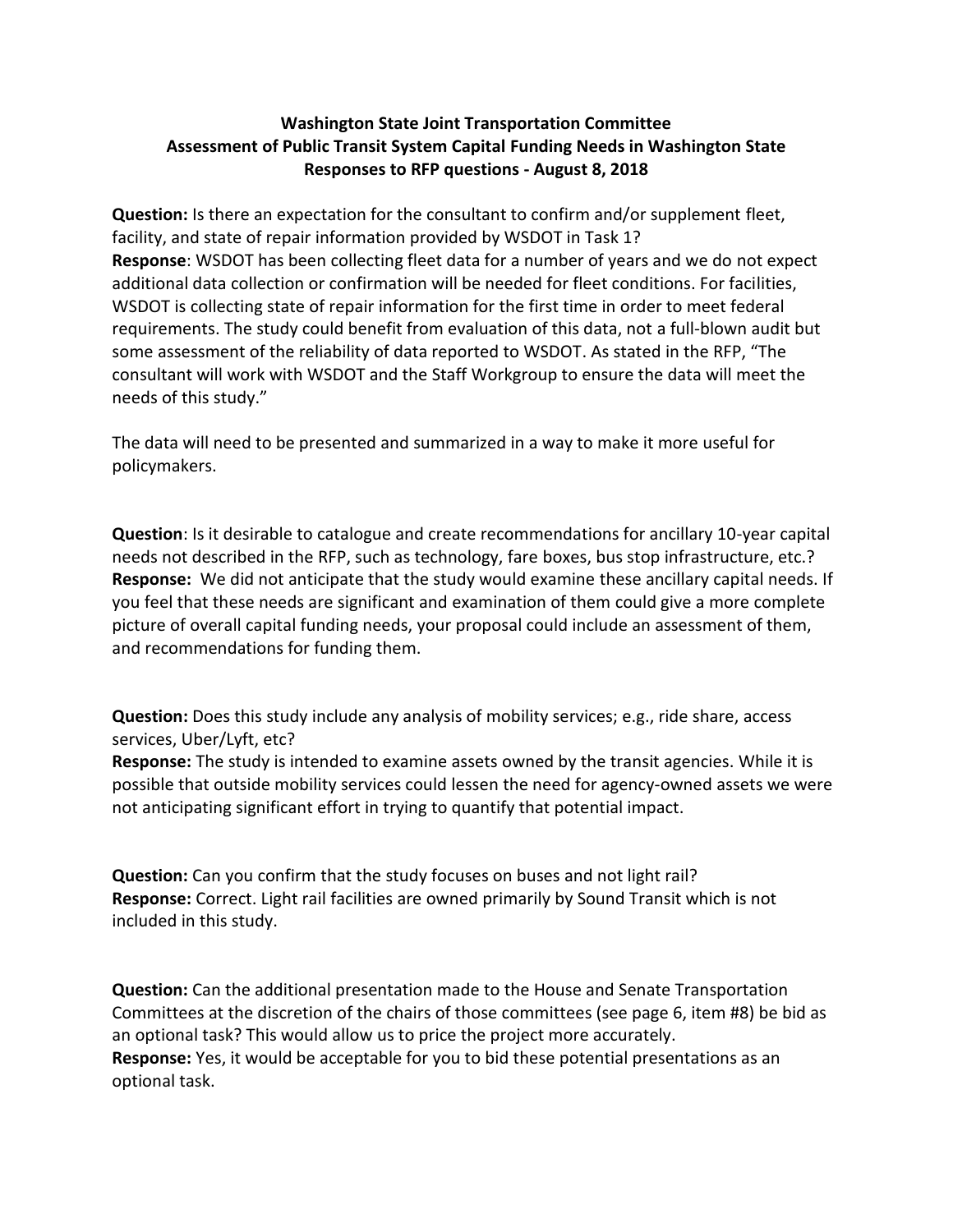## **Washington State Joint Transportation Committee Assessment of Public Transit System Capital Funding Needs in Washington State Responses to RFP questions - August 8, 2018**

**Question:** Is there an expectation for the consultant to confirm and/or supplement fleet, facility, and state of repair information provided by WSDOT in Task 1? **Response**: WSDOT has been collecting fleet data for a number of years and we do not expect additional data collection or confirmation will be needed for fleet conditions. For facilities, WSDOT is collecting state of repair information for the first time in order to meet federal requirements. The study could benefit from evaluation of this data, not a full-blown audit but some assessment of the reliability of data reported to WSDOT. As stated in the RFP, "The consultant will work with WSDOT and the Staff Workgroup to ensure the data will meet the needs of this study."

The data will need to be presented and summarized in a way to make it more useful for policymakers.

**Question**: Is it desirable to catalogue and create recommendations for ancillary 10-year capital needs not described in the RFP, such as technology, fare boxes, bus stop infrastructure, etc.? **Response:** We did not anticipate that the study would examine these ancillary capital needs. If you feel that these needs are significant and examination of them could give a more complete picture of overall capital funding needs, your proposal could include an assessment of them, and recommendations for funding them.

**Question:** Does this study include any analysis of mobility services; e.g., ride share, access services, Uber/Lyft, etc?

**Response:** The study is intended to examine assets owned by the transit agencies. While it is possible that outside mobility services could lessen the need for agency-owned assets we were not anticipating significant effort in trying to quantify that potential impact.

**Question:** Can you confirm that the study focuses on buses and not light rail? **Response:** Correct. Light rail facilities are owned primarily by Sound Transit which is not included in this study.

**Question:** Can the additional presentation made to the House and Senate Transportation Committees at the discretion of the chairs of those committees (see page 6, item #8) be bid as an optional task? This would allow us to price the project more accurately. **Response:** Yes, it would be acceptable for you to bid these potential presentations as an optional task.